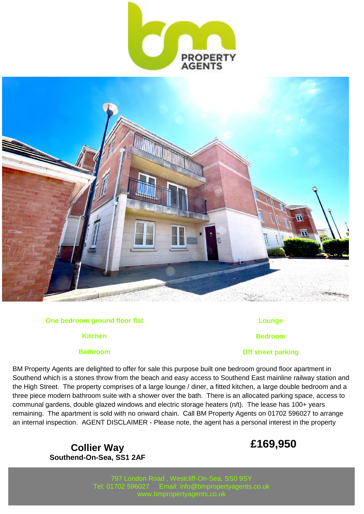



### **One bedroom ground floor flat**

**Kitchen**

## **Bathroom**

**Lounge**

**Bedroom**

## **Off street parking**

BM Property Agents are delighted to offer for sale this purpose built one bedroom ground floor apartment in Southend which is a stones throw from the beach and easy access to Southend East mainline railway station and the High Street. The property comprises of a large lounge / diner, a fitted kitchen, a large double bedroom and a three piece modern bathroom suite with a shower over the bath. There is an allocated parking space, access to communal gardens, double glazed windows and electric storage heaters (n/t). The lease has 100+ years remaining. The apartment is sold with no onward chain. Call BM Property Agents on 01702 596027 to arrange an internal inspection. AGENT DISCLAIMER - Please note, the agent has a personal interest in the property

> **Collier Way Southend-On-Sea, SS1 2AF**

# **£169,950**

797 London Road , Westcliff-On-Sea, SS0 9SY Tel: 01702 596027 Email: info@bmpropertyagents.co.uk www.bmpropertyagents.co.uk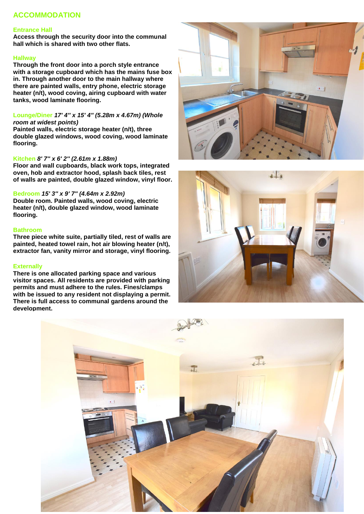# **ACCOMMODATION**

#### **Entrance Hall**

**Access through the security door into the communal hall which is shared with two other flats.**

#### **Hallway**

**Through the front door into a porch style entrance with a storage cupboard which has the mains fuse box in. Through another door to the main hallway where there are painted walls, entry phone, electric storage heater (n/t), wood coving, airing cupboard with water tanks, wood laminate flooring.**

#### **Lounge/Diner** *17' 4'' x 15' 4'' (5.28m x 4.67m) (Whole room at widest points)*

**Painted walls, electric storage heater (n/t), three double glazed windows, wood coving, wood laminate flooring.**

#### **Kitchen** *8' 7'' x 6' 2'' (2.61m x 1.88m)*

**Floor and wall cupboards, black work tops, integrated oven, hob and extractor hood, splash back tiles, rest of walls are painted, double glazed window, vinyl floor.**

#### **Bedroom** *15' 3'' x 9' 7'' (4.64m x 2.92m)*

**Double room. Painted walls, wood coving, electric heater (n/t), double glazed window, wood laminate flooring.**

#### **Bathroom**

**Three piece white suite, partially tiled, rest of walls are painted, heated towel rain, hot air blowing heater (n/t), extractor fan, vanity mirror and storage, vinyl flooring.**

#### **Externally**

**There is one allocated parking space and various visitor spaces. All residents are provided with parking permits and must adhere to the rules. Fines/clamps with be issued to any resident not displaying a permit. There is full access to communal gardens around the development.**





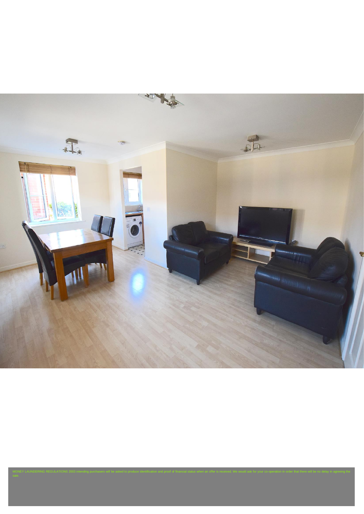